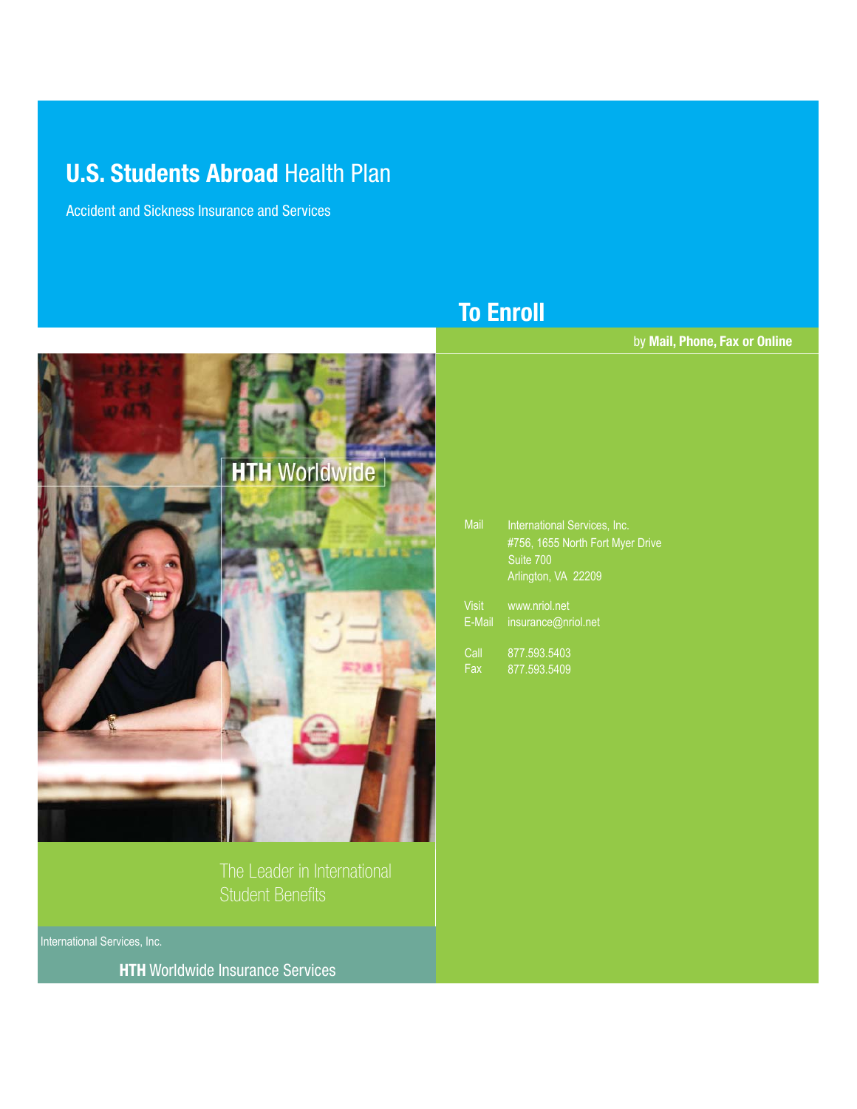# **U.S. Students Abroad Health Plan**

Accident and Sickness Insurance and Services



The Leader in International Student Benefits

International Services, Inc.

**HTH** Worldwide Insurance Services

# **To Enroll**

by **Mail, Phone, Fax or Online**

| <b>Mail</b>  | International Services, Inc.<br>#756, 1655 North Fort Myer Drive |  |  |  |  |
|--------------|------------------------------------------------------------------|--|--|--|--|
|              | Suite 700                                                        |  |  |  |  |
|              | Arlington, VA 22209                                              |  |  |  |  |
| <b>Visit</b> | www.nriol.net                                                    |  |  |  |  |
| E-Mail       | insurance@nriol.net                                              |  |  |  |  |
|              |                                                                  |  |  |  |  |

Call 877.593.5403 Fax 877.593.5409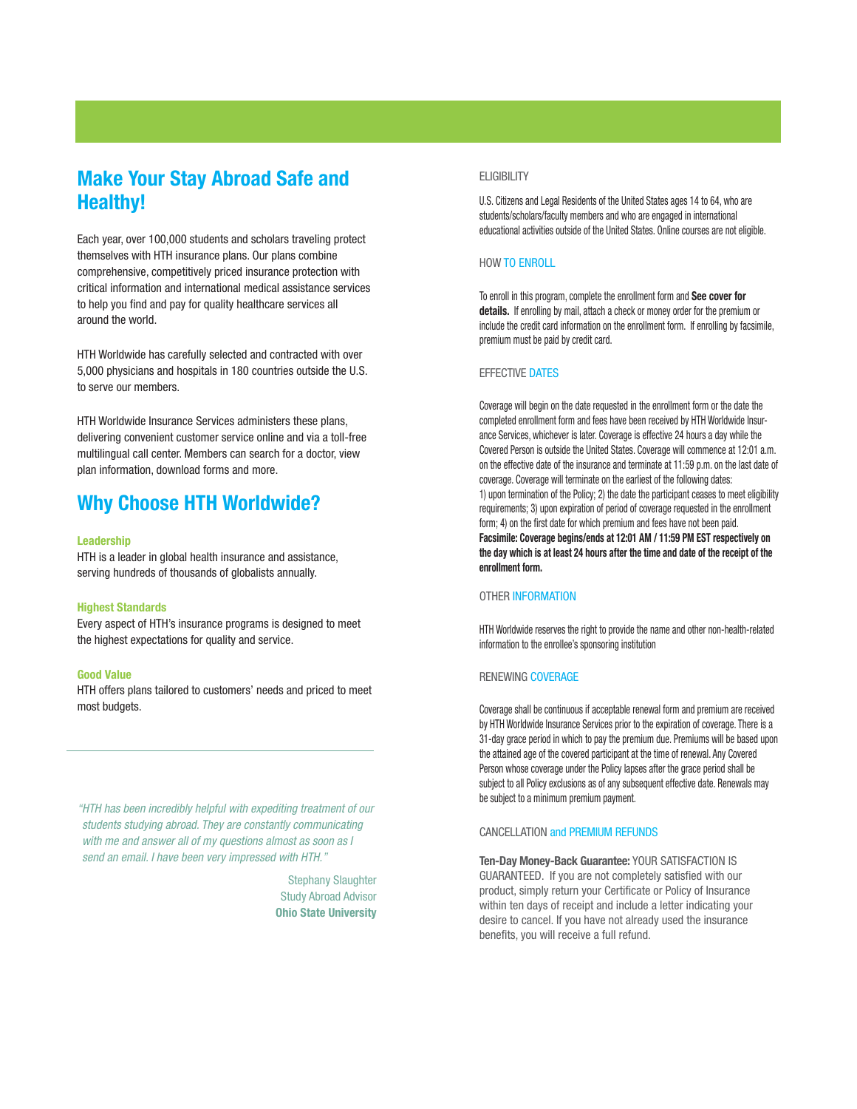## **Make Your Stay Abroad Safe and Healthy!**

Each year, over 100,000 students and scholars traveling protect themselves with HTH insurance plans. Our plans combine comprehensive, competitively priced insurance protection with critical information and international medical assistance services to help you find and pay for quality healthcare services all around the world.

HTH Worldwide has carefully selected and contracted with over 5,000 physicians and hospitals in 180 countries outside the U.S. to serve our members.

HTH Worldwide Insurance Services administers these plans, delivering convenient customer service online and via a toll-free multilingual call center. Members can search for a doctor, view plan information, download forms and more.

## **Why Choose HTH Worldwide?**

#### **Leadership**

HTH is a leader in global health insurance and assistance, serving hundreds of thousands of globalists annually.

#### **Highest Standards**

Every aspect of HTH's insurance programs is designed to meet the highest expectations for quality and service.

#### **Good Value**

HTH offers plans tailored to customers' needs and priced to meet most budgets.

"HTH has been incredibly helpful with expediting treatment of our students studying abroad. They are constantly communicating with me and answer all of my questions almost as soon as I send an email. I have been very impressed with HTH."

> Stephany Slaughter Study Abroad Advisor **Ohio State University**

#### **ELIGIBILITY**

U.S. Citizens and Legal Residents of the United States ages 14 to 64, who are students/scholars/faculty members and who are engaged in international educational activities outside of the United States. Online courses are not eligible.

#### HOW TO ENROLL

To enroll in this program, complete the enrollment form and **See cover for details.** If enrolling by mail, attach a check or money order for the premium or include the credit card information on the enrollment form. If enrolling by facsimile, premium must be paid by credit card.

#### EFFECTIVE DATES

Coverage will begin on the date requested in the enrollment form or the date the completed enrollment form and fees have been received by HTH Worldwide Insurance Services, whichever is later. Coverage is effective 24 hours a day while the Covered Person is outside the United States. Coverage will commence at 12:01 a.m. on the effective date of the insurance and terminate at 11:59 p.m. on the last date of coverage. Coverage will terminate on the earliest of the following dates: 1) upon termination of the Policy; 2) the date the participant ceases to meet eligibility requirements; 3) upon expiration of period of coverage requested in the enrollment form; 4) on the first date for which premium and fees have not been paid. **Facsimile: Coverage begins/ends at 12:01 AM / 11:59 PM EST respectively on the day which is at least 24 hours after the time and date of the receipt of the enrollment form.**

#### OTHER INFORMATION

HTH Worldwide reserves the right to provide the name and other non-health-related information to the enrollee's sponsoring institution

#### RENEWING COVERAGE

Coverage shall be continuous if acceptable renewal form and premium are received by HTH Worldwide Insurance Services prior to the expiration of coverage. There is a 31-day grace period in which to pay the premium due. Premiums will be based upon the attained age of the covered participant at the time of renewal. Any Covered Person whose coverage under the Policy lapses after the grace period shall be subject to all Policy exclusions as of any subsequent effective date. Renewals may be subject to a minimum premium payment.

#### CANCELLATION and PREMIUM REFUNDS

**Ten-Day Money-Back Guarantee:** YOUR SATISFACTION IS GUARANTEED. If you are not completely satisfied with our product, simply return your Certificate or Policy of Insurance within ten days of receipt and include a letter indicating your desire to cancel. If you have not already used the insurance benefits, you will receive a full refund.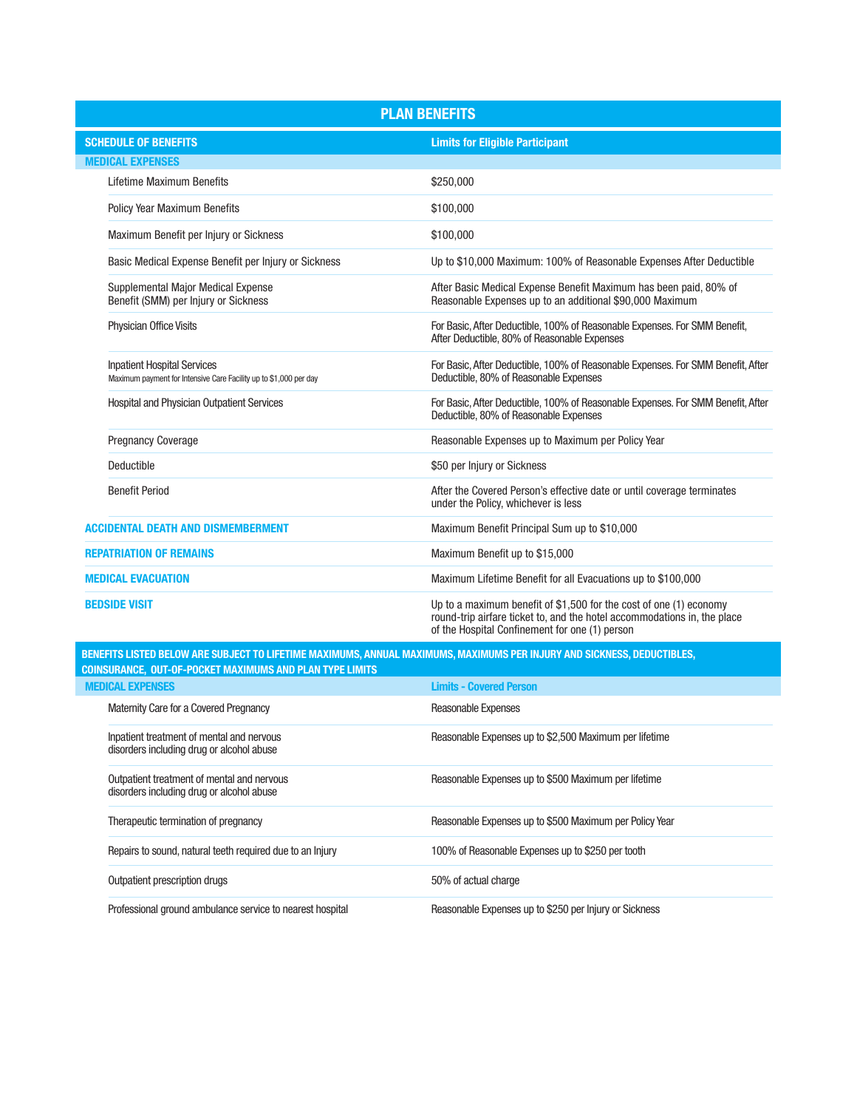| <b>PLAN BENEFITS</b>                                                                                    |                                                                                                                                                                                                  |  |  |  |
|---------------------------------------------------------------------------------------------------------|--------------------------------------------------------------------------------------------------------------------------------------------------------------------------------------------------|--|--|--|
| <b>SCHEDULE OF BENEFITS</b>                                                                             | <b>Limits for Eligible Participant</b>                                                                                                                                                           |  |  |  |
| <b>MEDICAL EXPENSES</b>                                                                                 |                                                                                                                                                                                                  |  |  |  |
| Lifetime Maximum Benefits                                                                               | \$250,000                                                                                                                                                                                        |  |  |  |
| <b>Policy Year Maximum Benefits</b>                                                                     | \$100,000                                                                                                                                                                                        |  |  |  |
| Maximum Benefit per Injury or Sickness                                                                  | \$100,000                                                                                                                                                                                        |  |  |  |
| Basic Medical Expense Benefit per Injury or Sickness                                                    | Up to \$10,000 Maximum: 100% of Reasonable Expenses After Deductible                                                                                                                             |  |  |  |
| Supplemental Major Medical Expense<br>Benefit (SMM) per Injury or Sickness                              | After Basic Medical Expense Benefit Maximum has been paid, 80% of<br>Reasonable Expenses up to an additional \$90,000 Maximum                                                                    |  |  |  |
| <b>Physician Office Visits</b>                                                                          | For Basic, After Deductible, 100% of Reasonable Expenses. For SMM Benefit,<br>After Deductible, 80% of Reasonable Expenses                                                                       |  |  |  |
| <b>Inpatient Hospital Services</b><br>Maximum payment for Intensive Care Facility up to \$1,000 per day | For Basic, After Deductible, 100% of Reasonable Expenses. For SMM Benefit, After<br>Deductible, 80% of Reasonable Expenses                                                                       |  |  |  |
| <b>Hospital and Physician Outpatient Services</b>                                                       | For Basic, After Deductible, 100% of Reasonable Expenses. For SMM Benefit, After<br>Deductible, 80% of Reasonable Expenses                                                                       |  |  |  |
| <b>Pregnancy Coverage</b>                                                                               | Reasonable Expenses up to Maximum per Policy Year                                                                                                                                                |  |  |  |
| Deductible                                                                                              | \$50 per Injury or Sickness                                                                                                                                                                      |  |  |  |
| <b>Benefit Period</b>                                                                                   | After the Covered Person's effective date or until coverage terminates<br>under the Policy, whichever is less                                                                                    |  |  |  |
| <b>ACCIDENTAL DEATH AND DISMEMBERMENT</b>                                                               | Maximum Benefit Principal Sum up to \$10,000                                                                                                                                                     |  |  |  |
| <b>REPATRIATION OF REMAINS</b>                                                                          | Maximum Benefit up to \$15,000                                                                                                                                                                   |  |  |  |
| <b>MEDICAL EVACUATION</b>                                                                               | Maximum Lifetime Benefit for all Evacuations up to \$100,000                                                                                                                                     |  |  |  |
| <b>BEDSIDE VISIT</b>                                                                                    | Up to a maximum benefit of \$1,500 for the cost of one (1) economy<br>round-trip airfare ticket to, and the hotel accommodations in, the place<br>of the Hospital Confinement for one (1) person |  |  |  |

**BENEFITS LISTED BELOW ARE SUBJECT TO LIFETIME MAXIMUMS, ANNUAL MAXIMUMS, MAXIMUMS PER INJURY AND SICKNESS, DEDUCTIBLES, COINSURANCE, OUT-OF-POCKET MAXIMUMS AND PLAN TYPE LIMITS**

| <b>MEDICAL EXPENSES</b>                                                                 | <b>Limits - Covered Person</b>                          |
|-----------------------------------------------------------------------------------------|---------------------------------------------------------|
| Maternity Care for a Covered Pregnancy                                                  | Reasonable Expenses                                     |
| Inpatient treatment of mental and nervous<br>disorders including drug or alcohol abuse  | Reasonable Expenses up to \$2,500 Maximum per lifetime  |
| Outpatient treatment of mental and nervous<br>disorders including drug or alcohol abuse | Reasonable Expenses up to \$500 Maximum per lifetime    |
| Therapeutic termination of pregnancy                                                    | Reasonable Expenses up to \$500 Maximum per Policy Year |
| Repairs to sound, natural teeth required due to an Injury                               | 100% of Reasonable Expenses up to \$250 per tooth       |
| Outpatient prescription drugs                                                           | 50% of actual charge                                    |
| Professional ground ambulance service to nearest hospital                               | Reasonable Expenses up to \$250 per Injury or Sickness  |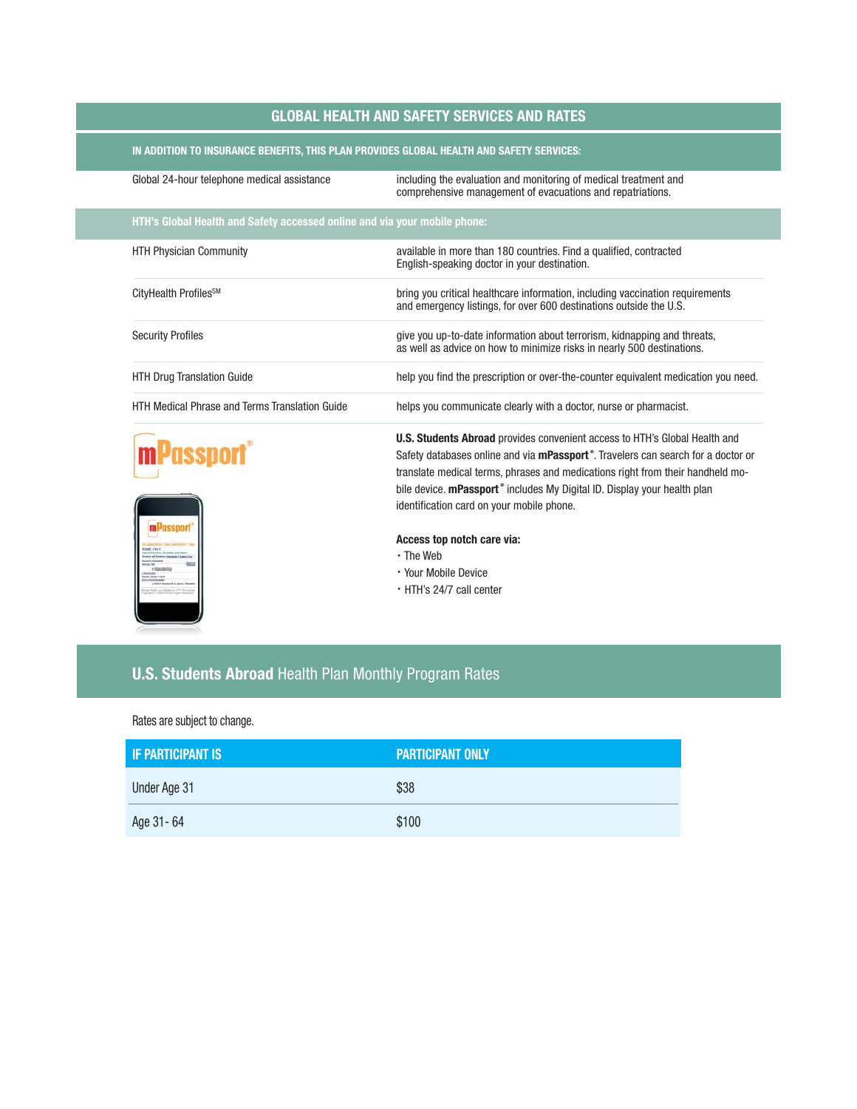### **GLOBAL HEALTH AND SAFETY SERVICES AND RATES**

### **IN ADDITION TO INSURANCE BENEFITS, THIS PLAN PROVIDES GLOBAL HEALTH AND SAFETY SERVICES:**

| Global 24-hour telephone medical assistance                               | including the evaluation and monitoring of medical treatment and<br>comprehensive management of evacuations and repatriations.                                                                                                                                                                                                                                                                            |  |  |  |
|---------------------------------------------------------------------------|-----------------------------------------------------------------------------------------------------------------------------------------------------------------------------------------------------------------------------------------------------------------------------------------------------------------------------------------------------------------------------------------------------------|--|--|--|
| HTH's Global Health and Safety accessed online and via your mobile phone: |                                                                                                                                                                                                                                                                                                                                                                                                           |  |  |  |
| <b>HTH Physician Community</b>                                            | available in more than 180 countries. Find a qualified, contracted<br>English-speaking doctor in your destination.                                                                                                                                                                                                                                                                                        |  |  |  |
| CityHealth Profiles <sup>SM</sup>                                         | bring you critical healthcare information, including vaccination requirements<br>and emergency listings, for over 600 destinations outside the U.S.                                                                                                                                                                                                                                                       |  |  |  |
| <b>Security Profiles</b>                                                  | give you up-to-date information about terrorism, kidnapping and threats,<br>as well as advice on how to minimize risks in nearly 500 destinations.                                                                                                                                                                                                                                                        |  |  |  |
| <b>HTH Drug Translation Guide</b>                                         | help you find the prescription or over-the-counter equivalent medication you need.                                                                                                                                                                                                                                                                                                                        |  |  |  |
| <b>HTH Medical Phrase and Terms Translation Guide</b>                     | helps you communicate clearly with a doctor, nurse or pharmacist.                                                                                                                                                                                                                                                                                                                                         |  |  |  |
| <sup>J</sup> assport                                                      | <b>U.S. Students Abroad</b> provides convenient access to HTH's Global Health and<br>Safety databases online and via mPassport <sup>®</sup> . Travelers can search for a doctor or<br>translate medical terms, phrases and medications right from their handheld mo-<br>bile device. mPassport <sup>®</sup> includes My Digital ID. Display your health plan<br>identification card on your mobile phone. |  |  |  |
|                                                                           | Access top notch care via:<br>$\cdot$ The Web<br>• Your Mobile Device<br>. HTH's 24/7 call center                                                                                                                                                                                                                                                                                                         |  |  |  |

## **U.S. Students Abroad** Health Plan Monthly Program Rates

Rates are subject to change.

| <b>IF PARTICIPANT IS</b> | <b>PARTICIPANT ONLY</b> |  |  |  |
|--------------------------|-------------------------|--|--|--|
| Under Age 31             | \$38                    |  |  |  |
| Age 31-64                | \$100                   |  |  |  |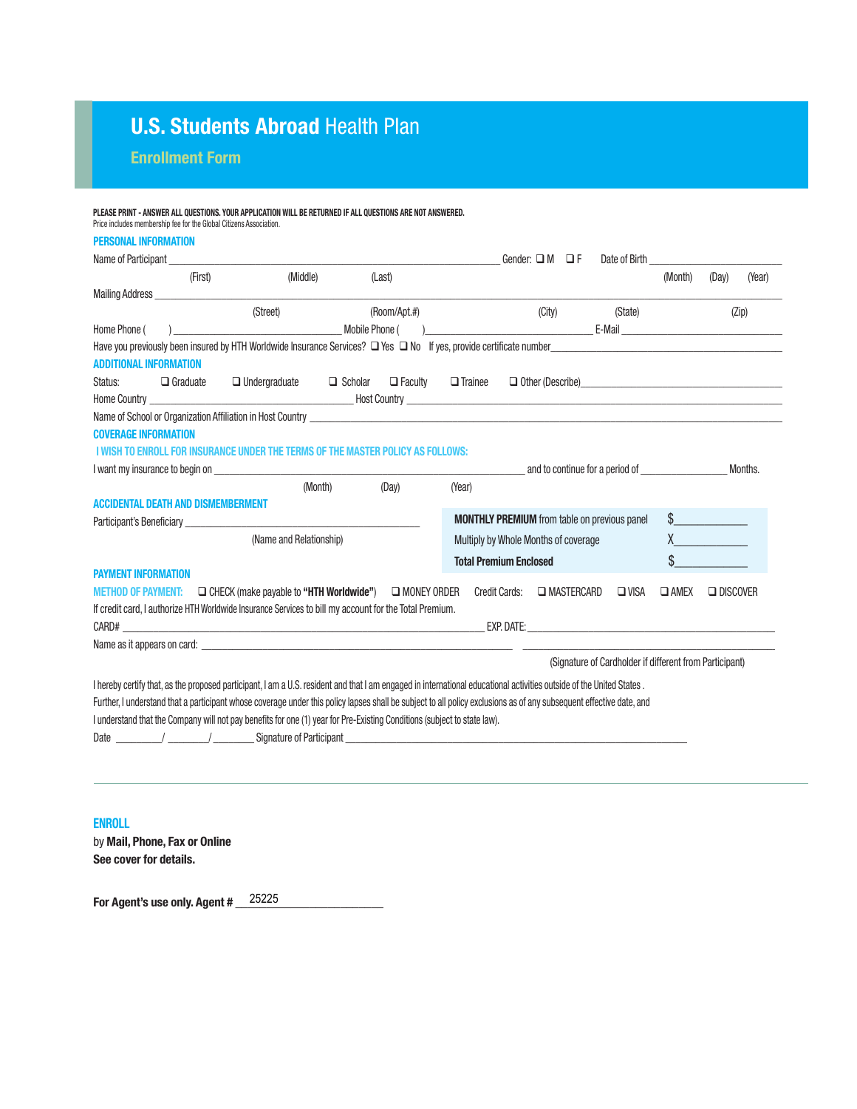# **U.S. Students Abroad Health Plan**

**Enrollment Form** 

| <b>PERSONAL INFORMATION</b>                                                                                                                                          |                                  |                                      |                   |                                                         |                |                   |         |
|----------------------------------------------------------------------------------------------------------------------------------------------------------------------|----------------------------------|--------------------------------------|-------------------|---------------------------------------------------------|----------------|-------------------|---------|
|                                                                                                                                                                      |                                  |                                      |                   |                                                         |                |                   |         |
|                                                                                                                                                                      |                                  | Gender: $\Box M$ $\Box F$            |                   | Date of Birth                                           |                |                   |         |
| (Middle)<br>(Last)<br>(First)                                                                                                                                        |                                  |                                      |                   |                                                         | (Month)        | (Day)             | (Year)  |
| Mailing Address                                                                                                                                                      |                                  |                                      |                   |                                                         |                |                   |         |
| (Street)<br>(Room/Apt.#)                                                                                                                                             |                                  | (City)                               |                   | (State)                                                 |                |                   | (Zip)   |
| Home Phone (<br>Mobile Phone (                                                                                                                                       |                                  |                                      |                   | <b>E-Mail E-Mail</b>                                    |                |                   |         |
| Have you previously been insured by HTH Worldwide Insurance Services? $\square$ Yes $\square$ No If yes, provide certificate number<br><b>ADDITIONAL INFORMATION</b> |                                  |                                      |                   |                                                         |                |                   |         |
| $\Box$ Undergraduate $\Box$ Scholar<br>Status:<br>$\Box$ Graduate                                                                                                    | $\Box$ Faculty<br>$\Box$ Trainee |                                      |                   | $\Box$ Other (Describe)                                 |                |                   |         |
|                                                                                                                                                                      |                                  |                                      |                   |                                                         |                |                   |         |
|                                                                                                                                                                      |                                  |                                      |                   |                                                         |                |                   |         |
| <b>COVERAGE INFORMATION</b>                                                                                                                                          |                                  |                                      |                   |                                                         |                |                   |         |
| I WISH TO ENROLL FOR INSURANCE UNDER THE TERMS OF THE MASTER POLICY AS FOLLOWS:                                                                                      |                                  |                                      |                   |                                                         |                |                   |         |
| I want my insurance to begin on                                                                                                                                      |                                  |                                      |                   | and to continue for a period of                         |                |                   | Months. |
| (Month)<br>(Dav)                                                                                                                                                     | (Year)                           |                                      |                   |                                                         |                |                   |         |
| <b>ACCIDENTAL DEATH AND DISMEMBERMENT</b>                                                                                                                            |                                  |                                      |                   |                                                         |                |                   |         |
|                                                                                                                                                                      |                                  |                                      |                   | <b>MONTHLY PREMIUM</b> from table on previous panel     |                |                   |         |
| (Name and Relationship)                                                                                                                                              |                                  | Multiply by Whole Months of coverage |                   |                                                         |                | $\chi$ and $\chi$ |         |
|                                                                                                                                                                      |                                  | <b>Total Premium Enclosed</b>        |                   |                                                         |                |                   |         |
| <b>PAYMENT INFORMATION</b>                                                                                                                                           |                                  |                                      |                   |                                                         |                |                   |         |
| <b>METHOD OF PAYMENT:</b> $\Box$ CHECK (make payable to "HTH Worldwide")                                                                                             | <b>NONEY ORDER</b>               | Credit Cards:                        | <b>NASTERCARD</b> | $\Box$ VISA                                             | $\square$ AMEX | $\Box$ DISCOVER   |         |
| If credit card, I authorize HTH Worldwide Insurance Services to bill my account for the Total Premium.                                                               |                                  |                                      |                   |                                                         |                |                   |         |
|                                                                                                                                                                      |                                  |                                      |                   |                                                         |                |                   |         |
| Name as it appears on card: experience of the state of the state of the state of the state of the state of the                                                       |                                  |                                      |                   |                                                         |                |                   |         |
|                                                                                                                                                                      |                                  |                                      |                   | (Signature of Cardholder if different from Participant) |                |                   |         |
| I hereby certify that, as the proposed participant, I am a U.S. resident and that I am engaged in international educational activities outside of the United States. |                                  |                                      |                   |                                                         |                |                   |         |
| Further, I understand that a participant whose coverage under this policy lapses shall be subject to all policy exclusions as of any subsequent effective date, and  |                                  |                                      |                   |                                                         |                |                   |         |
| I understand that the Company will not pay benefits for one (1) year for Pre-Existing Conditions (subject to state law).                                             |                                  |                                      |                   |                                                         |                |                   |         |
|                                                                                                                                                                      |                                  |                                      |                   |                                                         |                |                   |         |

**ENROLL** by **Mail, Phone, Fax or Online See cover for details.**

**For Agent's use only. Agent # \_\_\_\_\_\_\_\_\_\_\_\_\_\_\_\_\_\_\_\_\_\_\_\_**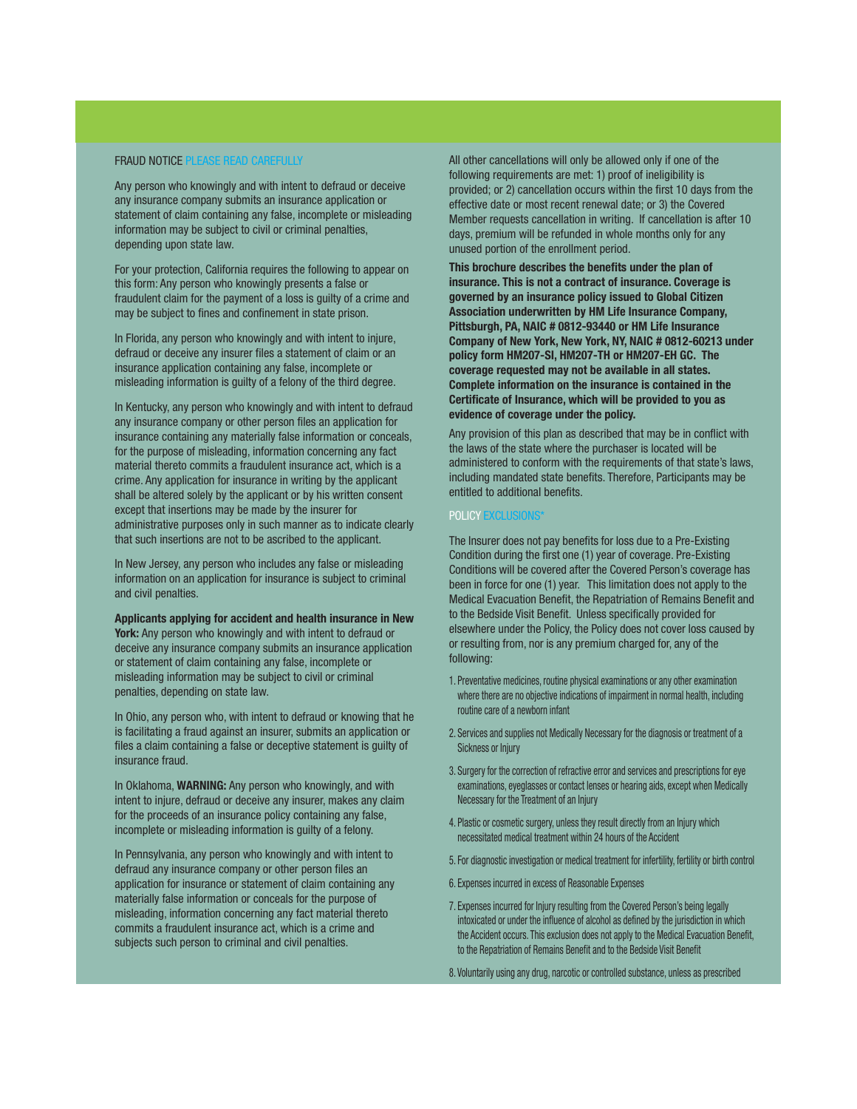#### FRAUD NOTICE PLEASE READ CAREFULLY

Any person who knowingly and with intent to defraud or deceive any insurance company submits an insurance application or statement of claim containing any false, incomplete or misleading information may be subject to civil or criminal penalties, depending upon state law.

For your protection, California requires the following to appear on this form: Any person who knowingly presents a false or fraudulent claim for the payment of a loss is guilty of a crime and may be subject to fines and confinement in state prison.

In Florida, any person who knowingly and with intent to injure, defraud or deceive any insurer files a statement of claim or an insurance application containing any false, incomplete or misleading information is guilty of a felony of the third degree.

In Kentucky, any person who knowingly and with intent to defraud any insurance company or other person files an application for insurance containing any materially false information or conceals, for the purpose of misleading, information concerning any fact material thereto commits a fraudulent insurance act, which is a crime. Any application for insurance in writing by the applicant shall be altered solely by the applicant or by his written consent except that insertions may be made by the insurer for administrative purposes only in such manner as to indicate clearly that such insertions are not to be ascribed to the applicant.

In New Jersey, any person who includes any false or misleading information on an application for insurance is subject to criminal and civil penalties.

**Applicants applying for accident and health insurance in New York:** Any person who knowingly and with intent to defraud or deceive any insurance company submits an insurance application or statement of claim containing any false, incomplete or misleading information may be subject to civil or criminal penalties, depending on state law.

In Ohio, any person who, with intent to defraud or knowing that he is facilitating a fraud against an insurer, submits an application or files a claim containing a false or deceptive statement is guilty of insurance fraud.

In Oklahoma, **WARNING:** Any person who knowingly, and with intent to injure, defraud or deceive any insurer, makes any claim for the proceeds of an insurance policy containing any false, incomplete or misleading information is guilty of a felony.

In Pennsylvania, any person who knowingly and with intent to defraud any insurance company or other person files an application for insurance or statement of claim containing any materially false information or conceals for the purpose of misleading, information concerning any fact material thereto commits a fraudulent insurance act, which is a crime and subjects such person to criminal and civil penalties.

All other cancellations will only be allowed only if one of the following requirements are met: 1) proof of ineligibility is provided; or 2) cancellation occurs within the first 10 days from the effective date or most recent renewal date; or 3) the Covered Member requests cancellation in writing. If cancellation is after 10 days, premium will be refunded in whole months only for any unused portion of the enrollment period.

**This brochure describes the benefits under the plan of insurance. This is not a contract of insurance. Coverage is governed by an insurance policy issued to Global Citizen Association underwritten by HM Life Insurance Company, Pittsburgh, PA, NAIC # 0812-93440 or HM Life Insurance Company of New York, New York, NY, NAIC # 0812-60213 under policy form HM207-SI, HM207-TH or HM207-EH GC. The coverage requested may not be available in all states. Complete information on the insurance is contained in the Certificate of Insurance, which will be provided to you as evidence of coverage under the policy.**

Any provision of this plan as described that may be in conflict with the laws of the state where the purchaser is located will be administered to conform with the requirements of that state's laws, including mandated state benefits. Therefore, Participants may be entitled to additional benefits.

#### POLICY EXCLUSION:

The Insurer does not pay benefits for loss due to a Pre-Existing Condition during the first one (1) year of coverage. Pre-Existing Conditions will be covered after the Covered Person's coverage has been in force for one (1) year. This limitation does not apply to the Medical Evacuation Benefit, the Repatriation of Remains Benefit and to the Bedside Visit Benefit. Unless specifically provided for elsewhere under the Policy, the Policy does not cover loss caused by or resulting from, nor is any premium charged for, any of the following:

- 1. Preventative medicines, routine physical examinations or any other examination where there are no objective indications of impairment in normal health, including routine care of a newborn infant
- 2. Services and supplies not Medically Necessary for the diagnosis or treatment of a Sickness or Injury
- 3. Surgery for the correction of refractive error and services and prescriptions for eye examinations, eyeglasses or contact lenses or hearing aids, except when Medically Necessary for the Treatment of an Injury
- 4. Plastic or cosmetic surgery, unless they result directly from an Injury which necessitated medical treatment within 24 hours of the Accident
- 5. For diagnostic investigation or medical treatment for infertility, fertility or birth control
- 6. Expenses incurred in excess of Reasonable Expenses
- 7. Expenses incurred for Injury resulting from the Covered Person's being legally intoxicated or under the influence of alcohol as defined by the jurisdiction in which the Accident occurs. This exclusion does not apply to the Medical Evacuation Benefit, to the Repatriation of Remains Benefit and to the Bedside Visit Benefit

8. Voluntarily using any drug, narcotic or controlled substance, unless as prescribed